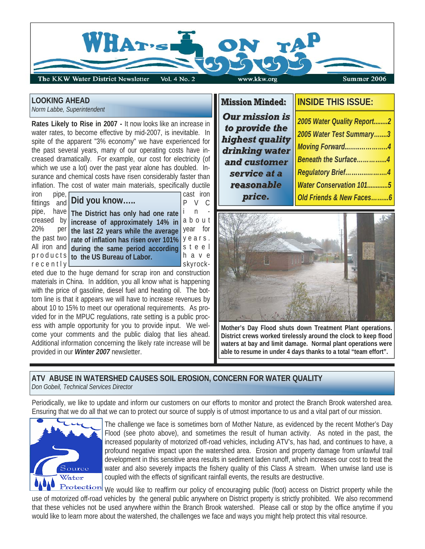

# **LOOKING AHEAD**

*Norm Labbe, Superintendent* 

**Rates Likely to Rise in 2007 -** It now looks like an increase in water rates, to become effective by mid-2007, is inevitable. In spite of the apparent "3% economy" we have experienced for the past several years, many of our operating costs have increased dramatically. For example, our cost for electricity (of which we use a lot) over the past year alone has doubled. Insurance and chemical costs have risen considerably faster than inflation. The cost of water main materials, specifically ductile

iron pipe, cast iron  $\frac{1}{\text{fittings}}$  and **Did you know** ..... pipe, have The District has only had one rate in the state creased by increase of approximately 14% in a b o u t 20% per the last 22 years while the average year for the past two  $\vert$  rate of inflation has risen over 101%  $\vert$  y e a r s. All iron and during the same period according s t e e l products to the US Bureau of Labor. **the assumption** r e c e n t l y skyrock-

eted due to the huge demand for scrap iron and construction materials in China. In addition, you all know what is happening with the price of gasoline, diesel fuel and heating oil. The bottom line is that it appears we will have to increase revenues by about 10 to 15% to meet our operational requirements. As provided for in the MPUC regulations, rate setting is a public process with ample opportunity for you to provide input. We welcome your comments and the public dialog that lies ahead. Additional information concerning the likely rate increase will be provided in our *Winter 2007* newsletter.

*Our mission is* to provide the *highest quality highest quality drinking water drinking water*  and customer service at a *reasonable reasonable price.*

# **Mission Minded: Mission Minded: INSIDE THIS ISSUE:**

*2005 Water Quality Report........2 2005 Water Test Summary…....3 Moving Forward...…..…………..4 Beneath the Surface…………...4 Regulatory Brief………..……….4 Water Conservation 101............5 Old Friends & New Faces……...6*



**Mother's Day Flood shuts down Treatment Plant operations. District crews worked tirelessly around the clock to keep flood waters at bay and limit damage. Normal plant operations were able to resume in under 4 days thanks to a total "team effort".** 

#### **ATV ABUSE IN WATERSHED CAUSES SOIL EROSION, CONCERN FOR WATER QUALITY**  *Don Gobeil, Technical Services Director*

Periodically, we like to update and inform our customers on our efforts to monitor and protect the Branch Brook watershed area. Ensuring that we do all that we can to protect our source of supply is of utmost importance to us and a vital part of our mission.



The challenge we face is sometimes born of Mother Nature, as evidenced by the recent Mother's Day Flood (see photo above), and sometimes the result of human activity. As noted in the past, the increased popularity of motorized off-road vehicles, including ATV's, has had, and continues to have, a profound negative impact upon the watershed area. Erosion and property damage from unlawful trail development in this sensitive area results in sediment laden runoff, which increases our cost to treat the water and also severely impacts the fishery quality of this Class A stream. When unwise land use is coupled with the effects of significant rainfall events, the results are destructive.

**Protection** We would like to reaffirm our policy of encouraging public (foot) access on District property while the use of motorized off-road vehicles by the general public anywhere on District property is strictly prohibited. We also recommend that these vehicles not be used anywhere within the Branch Brook watershed. Please call or stop by the office anytime if you would like to learn more about the watershed, the challenges we face and ways you might help protect this vital resource.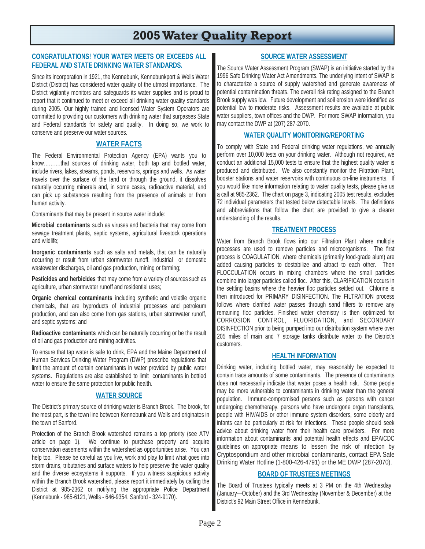# **2005 Water Quality Report**

#### **CONGRATULATIONS! YOUR WATER MEETS OR EXCEEDS ALL FEDERAL AND STATE DRINKING WATER STANDARDS.**

Since its incorporation in 1921, the Kennebunk, Kennebunkport & Wells Water District (District) has considered water quality of the utmost importance. The District vigilantly monitors and safeguards its water supplies and is proud to report that it continued to meet or exceed all drinking water quality standards during 2005. Our highly trained and licensed Water System Operators are committed to providing our customers with drinking water that surpasses State and Federal standards for safety and quality. In doing so, we work to conserve and preserve our water sources.

#### **WATER FACTS**

The Federal Environmental Protection Agency (EPA) wants you to know……….that sources of drinking water, both tap and bottled water, include rivers, lakes, streams, ponds, reservoirs, springs and wells. As water travels over the surface of the land or through the ground, it dissolves naturally occurring minerals and, in some cases, radioactive material, and can pick up substances resulting from the presence of animals or from human activity.

Contaminants that may be present in source water include:

**Microbial contaminants** such as viruses and bacteria that may come from sewage treatment plants, septic systems, agricultural livestock operations and wildlife;

**Inorganic contaminants** such as salts and metals, that can be naturally occurring or result from urban stormwater runoff, industrial or domestic wastewater discharges, oil and gas production, mining or farming;

**Pesticides and herbicides** that may come from a variety of sources such as agriculture, urban stormwater runoff and residential uses;

**Organic chemical contaminants** including synthetic and volatile organic chemicals, that are byproducts of industrial processes and petroleum production, and can also come from gas stations, urban stormwater runoff, and septic systems; and

**Radioactive contaminants** which can be naturally occurring or be the result of oil and gas production and mining activities.

To ensure that tap water is safe to drink, EPA and the Maine Department of Human Services Drinking Water Program (DWP) prescribe regulations that limit the amount of certain contaminants in water provided by public water systems. Regulations are also established to limit contaminants in bottled water to ensure the same protection for public health.

#### **WATER SOURCE**

The District's primary source of drinking water is Branch Brook. The brook, for the most part, is the town line between Kennebunk and Wells and originates in the town of Sanford.

Protection of the Branch Brook watershed remains a top priority (see ATV article on page 1). We continue to purchase property and acquire conservation easements within the watershed as opportunities arise. You can help too. Please be careful as you live, work and play to limit what goes into storm drains, tributaries and surface waters to help preserve the water quality and the diverse ecosystems it supports. If you witness suspicious activity within the Branch Brook watershed, please report it immediately by calling the District at 985-2362 or notifying the appropriate Police Department (Kennebunk - 985-6121, Wells - 646-9354, Sanford - 324-9170).

# **SOURCE WATER ASSESSMENT**

The Source Water Assessment Program (SWAP) is an initiative started by the 1996 Safe Drinking Water Act Amendments. The underlying intent of SWAP is to characterize a source of supply watershed and generate awareness of potential contamination threats. The overall risk rating assigned to the Branch Brook supply was low. Future development and soil erosion were identified as potential low to moderate risks. Assessment results are available at public water suppliers, town offices and the DWP. For more SWAP information, you may contact the DWP at (207) 287-2070.

#### **WATER QUALITY MONITORING/REPORTING**

To comply with State and Federal drinking water regulations, we annually perform over 10,000 tests on your drinking water. Although not required, we conduct an additional 15,000 tests to ensure that the highest quality water is produced and distributed. We also constantly monitor the Filtration Plant, booster stations and water reservoirs with continuous on-line instruments. If you would like more information relating to water quality tests, please give us a call at 985-2362. The chart on page 3, indicating 2005 test results, excludes 72 individual parameters that tested below detectable levels. The definitions and abbreviations that follow the chart are provided to give a clearer understanding of the results.

#### **TREATMENT PROCESS**

Water from Branch Brook flows into our Filtration Plant where multiple processes are used to remove particles and microorganisms. The first process is COAGULATION, where chemicals (primarily food-grade alum) are added causing particles to destabilize and attract to each other. Then FLOCCULATION occurs in mixing chambers where the small particles combine into larger particles called floc. After this, CLARIFICATION occurs in the settling basins where the heavier floc particles settled out. Chlorine is then introduced for PRIMARY DISINFECTION. The FILTRATION process follows where clarified water passes through sand filters to remove any remaining floc particles. Finished water chemistry is then optimized for CORROSION CONTROL, FLUORIDATION, and SECONDARY DISINFECTION prior to being pumped into our distribution system where over 205 miles of main and 7 storage tanks distribute water to the District's customers.

#### **HEALTH INFORMATION**

Drinking water, including bottled water, may reasonably be expected to contain trace amounts of some contaminants. The presence of contaminants does not necessarily indicate that water poses a health risk. Some people may be more vulnerable to contaminants in drinking water than the general population. Immuno-compromised persons such as persons with cancer undergoing chemotherapy, persons who have undergone organ transplants, people with HIV/AIDS or other immune system disorders, some elderly and infants can be particularly at risk for infections. These people should seek advice about drinking water from their health care providers. For more information about contaminants and potential health effects and EPA/CDC guidelines on appropriate means to lessen the risk of infection by Cryptosporidium and other microbial contaminants, contact EPA Safe Drinking Water Hotline (1-800-426-4791) or the ME DWP (287-2070).

#### **BOARD OF TRUSTEES MEETINGS**

The Board of Trustees typically meets at 3 PM on the 4th Wednesday (January—October) and the 3rd Wednesday (November & December) at the District's 92 Main Street Office in Kennebunk.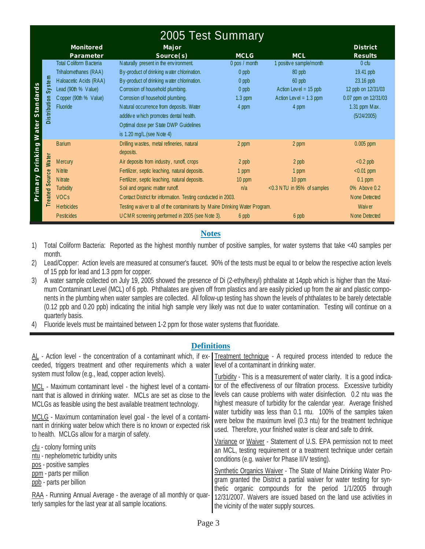|                                                                          | 2005 Test Summary                                                                                                                      |                                                                                                                                                                                                                                                                                                                                                                                           |                                                                      |                                                                                                             |                                                                                                                          |
|--------------------------------------------------------------------------|----------------------------------------------------------------------------------------------------------------------------------------|-------------------------------------------------------------------------------------------------------------------------------------------------------------------------------------------------------------------------------------------------------------------------------------------------------------------------------------------------------------------------------------------|----------------------------------------------------------------------|-------------------------------------------------------------------------------------------------------------|--------------------------------------------------------------------------------------------------------------------------|
|                                                                          | <b>Monitored</b><br>Parameter                                                                                                          | Major<br>Source(s)                                                                                                                                                                                                                                                                                                                                                                        | <b>MCLG</b>                                                          | <b>MCL</b>                                                                                                  | <b>District</b><br><b>Results</b>                                                                                        |
| System<br>dard<br>Distribution<br>ċ<br>s <sub>ta</sub><br>ater<br>$\geq$ | Total Coliform Bacteria<br>Trihalomethanes (RAA)<br>Haloacetic Acids (RAA)<br>Lead (90th % Value)<br>Copper (90th % Value)<br>Fluoride | Naturally present in the environment.<br>By-product of drinking water chlorination.<br>By-product of drinking water chlorination.<br>Corrosion of household plumbing.<br>Corrosion of household plumbing.<br>Natural occurrence from deposits. Water<br>additive which promotes dental health.<br>Optimal dose per State DWP Guidelines<br>is $1.20$ mg/L. (see N ote 4)                  | 0 pos / month<br>$0$ ppb<br>$0$ ppb<br>$0$ ppb<br>$1.3$ ppm<br>4 ppm | 1 positive sample/month<br>80 ppb<br>60 ppb<br>Action Level = $15$ ppb<br>Action Level = $1.3$ ppm<br>4 ppm | 0 <sub>ctu</sub><br>19.41 ppb<br>23.16 ppb<br>12 ppb on 12/31/03<br>0.07 ppm on 12/31/03<br>1.31 ppm Max.<br>(5/24/2005) |
| rinking<br>Water<br>$\Box$<br>Source<br>$\sigma$<br>έ<br>Treated<br>n.   | <b>Barium</b><br>Mercury<br><b>N</b> itrite<br><b>N</b> itrate<br><b>Turbidity</b><br><b>VOCs</b><br><b>H</b> erbicides                | Drilling wastes, metal refineries, natural<br>deposits.<br>Air deposits from industry, runoff, crops<br>Fertilizer, septic leaching, natural deposits.<br>Fertilizer, septic leaching, natural deposits.<br>Soil and organic matter runoff.<br>Contact District for information. Testing conducted in 2003.<br>Testing waiver to all of the contaminants by Maine Drinking Water Program. | 2 ppm<br>2 ppb<br>1 ppm<br>10 ppm<br>n/a                             | 2 ppm<br>2 ppb<br>1 ppm<br>10 ppm<br><0.3 NTU in 95% of samples                                             | $0.005$ ppm<br>$< 0.2$ ppb<br>$< 0.01$ ppm<br>$0.1$ ppm<br>0% Above 0.2<br>None Detected<br>Waiv er                      |
|                                                                          | <b>Pesticides</b>                                                                                                                      | UCMR screening performed in 2005 (see Note 3).                                                                                                                                                                                                                                                                                                                                            | 6 ppb                                                                | 6 ppb                                                                                                       | None Detected                                                                                                            |

#### **Notes**

- 1) Total Coliform Bacteria: Reported as the highest monthly number of positive samples, for water systems that take <40 samples per month.
- 2) Lead/Copper: Action levels are measured at consumer's faucet. 90% of the tests must be equal to or below the respective action levels of 15 ppb for lead and 1.3 ppm for copper.
- 3) A water sample collected on July 19, 2005 showed the presence of Di (2-ethylhexyl) phthalate at 14ppb which is higher than the Maximum Contaminant Level (MCL) of 6 ppb. Phthalates are given off from plastics and are easily picked up from the air and plastic components in the plumbing when water samples are collected. All follow-up testing has shown the levels of phthalates to be barely detectable (0.12 ppb and 0.20 ppb) indicating the initial high sample very likely was not due to water contamination. Testing will continue on a quarterly basis.
- 4) Fluoride levels must be maintained between 1-2 ppm for those water systems that fluoridate.

#### **Definitions**

| AL - Action level - the concentration of a contaminant which, if ex- Treatment technique - A required process intended to reduce the<br>ceeded, triggers treatment and other requirements which a water level of a contaminant in drinking water. |                                                                                                                                                                                                                                                                                                                                                                                                                                                                                                                 |  |  |
|---------------------------------------------------------------------------------------------------------------------------------------------------------------------------------------------------------------------------------------------------|-----------------------------------------------------------------------------------------------------------------------------------------------------------------------------------------------------------------------------------------------------------------------------------------------------------------------------------------------------------------------------------------------------------------------------------------------------------------------------------------------------------------|--|--|
| system must follow (e.g., lead, copper action levels).                                                                                                                                                                                            | Turbidity - This is a measurement of water clarity. It is a good indica-<br>tor of the effectiveness of our filtration process. Excessive turbidity<br>levels can cause problems with water disinfection. 0.2 ntu was the<br>highest measure of turbidity for the calendar year. Average finished<br>water turbidity was less than 0.1 ntu. 100% of the samples taken<br>were below the maximum level (0.3 ntu) for the treatment technique<br>used. Therefore, your finished water is clear and safe to drink. |  |  |
| MCL - Maximum contaminant level - the highest level of a contami-<br>nant that is allowed in drinking water. MCLs are set as close to the<br>MCLGs as feasible using the best available treatment technology.                                     |                                                                                                                                                                                                                                                                                                                                                                                                                                                                                                                 |  |  |
| MCLG - Maximum contamination level goal - the level of a contami-<br>nant in drinking water below which there is no known or expected risk<br>to health. MCLGs allow for a margin of safety.                                                      |                                                                                                                                                                                                                                                                                                                                                                                                                                                                                                                 |  |  |
| cfu - colony forming units<br>ntu - nephelometric turbidity units<br>pos - positive samples                                                                                                                                                       | Variance or Waiver - Statement of U.S. EPA permission not to meet<br>an MCL, testing requirement or a treatment technique under certain<br>conditions (e.g. waiver for Phase II/V testing).                                                                                                                                                                                                                                                                                                                     |  |  |
| ppm - parts per million<br>ppb - parts per billion                                                                                                                                                                                                | <b>Synthetic Organics Waiver - The State of Maine Drinking Water Pro-</b><br>gram granted the District a partial waiver for water testing for syn-<br>thetic organic compounds for the period 1/1/2005 through<br>12/31/2007. Waivers are issued based on the land use activities in<br>the vicinity of the water supply sources.                                                                                                                                                                               |  |  |
| RAA - Running Annual Average - the average of all monthly or quar-<br>terly samples for the last year at all sample locations.                                                                                                                    |                                                                                                                                                                                                                                                                                                                                                                                                                                                                                                                 |  |  |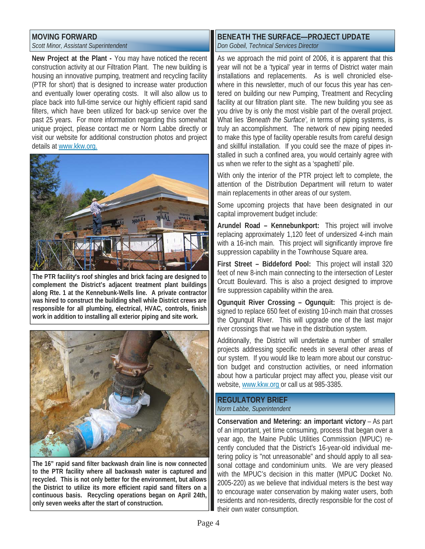# **MOVING FORWARD**

*Scott Minor, Assistant Superintendent* 

**New Project at the Plant -** You may have noticed the recent construction activity at our Filtration Plant. The new building is housing an innovative pumping, treatment and recycling facility (PTR for short) that is designed to increase water production and eventually lower operating costs. It will also allow us to place back into full-time service our highly efficient rapid sand filters, which have been utilized for back-up service over the past 25 years. For more information regarding this somewhat unique project, please contact me or Norm Labbe directly or visit our website for additional construction photos and project details at www.kkw.org.



**The PTR facility's roof shingles and brick facing are designed to complement the District's adjacent treatment plant buildings along Rte. 1 at the Kennebunk-Wells line. A private contractor was hired to construct the building shell while District crews are responsible for all plumbing, electrical, HVAC, controls, finish work in addition to installing all exterior piping and site work.** 



**The 16" rapid sand filter backwash drain line is now connected to the PTR facility where all backwash water is captured and recycled. This is not only better for the environment, but allows the District to utilize its more efficient rapid sand filters on a continuous basis. Recycling operations began on April 24th, only seven weeks after the start of construction.** 

# **BENEATH THE SURFACE—PROJECT UPDATE** *Don Gobeil, Technical Services Director*

As we approach the mid point of 2006, it is apparent that this year will not be a 'typical' year in terms of District water main installations and replacements. As is well chronicled elsewhere in this newsletter, much of our focus this year has centered on building our new Pumping, Treatment and Recycling facility at our filtration plant site. The new building you see as you drive by is only the most visible part of the overall project. What lies *'Beneath the Surface',* in terms of piping systems, is truly an accomplishment. The network of new piping needed to make this type of facility operable results from careful design and skillful installation. If you could see the maze of pipes installed in such a confined area, you would certainly agree with us when we refer to the sight as a 'spaghetti' pile.

With only the interior of the PTR project left to complete, the attention of the Distribution Department will return to water main replacements in other areas of our system.

Some upcoming projects that have been designated in our capital improvement budget include:

**Arundel Road – Kennebunkport:** This project will involve replacing approximately 1,120 feet of undersized 4-inch main with a 16-inch main. This project will significantly improve fire suppression capability in the Townhouse Square area.

**First Street – Biddeford Pool:** This project will install 320 feet of new 8-inch main connecting to the intersection of Lester Orcutt Boulevard. This is also a project designed to improve fire suppression capability within the area.

**Ogunquit River Crossing – Ogunquit:** This project is designed to replace 650 feet of existing 10-inch main that crosses the Ogunquit River. This will upgrade one of the last major river crossings that we have in the distribution system.

Additionally, the District will undertake a number of smaller projects addressing specific needs in several other areas of our system. If you would like to learn more about our construction budget and construction activities, or need information about how a particular project may affect you, please visit our website, www.kkw.org or call us at 985-3385.

#### **REGULATORY BRIEF** *Norm Labbe, Superintendent*

**Conservation and Metering: an important victory** – As part of an important, yet time consuming, process that began over a year ago, the Maine Public Utilities Commission (MPUC) recently concluded that the District's 16-year-old individual metering policy is "not unreasonable" and should apply to all seasonal cottage and condominium units. We are very pleased with the MPUC's decision in this matter (MPUC Docket No. 2005-220) as we believe that individual meters is the best way to encourage water conservation by making water users, both residents and non-residents, directly responsible for the cost of their own water consumption.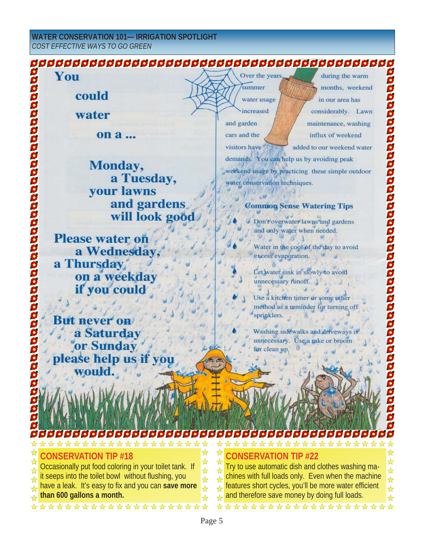#### **WATER CONSERVATION 101— IRRIGATION SPOTLIGHT** *COST EFFECTIVE WAYS TO GO GREEN*

| You<br>0                                                                                                                           | Over the years<br>during the warm<br>\$                                                                                 |  |  |  |  |
|------------------------------------------------------------------------------------------------------------------------------------|-------------------------------------------------------------------------------------------------------------------------|--|--|--|--|
| 0                                                                                                                                  | summer<br>\$<br>months, weekend                                                                                         |  |  |  |  |
| could<br>0000000000                                                                                                                | \$<br>in our area has<br>water usage                                                                                    |  |  |  |  |
| water                                                                                                                              | 000000000<br>increased<br>considerably. Lawn                                                                            |  |  |  |  |
|                                                                                                                                    | and garden<br>maintenance, washing                                                                                      |  |  |  |  |
| on a                                                                                                                               | influx of weekend<br>cars and the                                                                                       |  |  |  |  |
|                                                                                                                                    | visitors have<br>added to our weekend water                                                                             |  |  |  |  |
| <b>Monday</b> ,                                                                                                                    | demands. You can help us by avoiding peak                                                                               |  |  |  |  |
| a Tuesday,<br>88                                                                                                                   | weekend usage by practicing these simple outdoor<br>0                                                                   |  |  |  |  |
| <b>your lawns</b>                                                                                                                  | water conservation techniques.                                                                                          |  |  |  |  |
| 9<br>and gardens                                                                                                                   | <b>Common Sense Watering Tips</b>                                                                                       |  |  |  |  |
| aaaaaaaaaa<br>will look good                                                                                                       | \$<br>\$                                                                                                                |  |  |  |  |
|                                                                                                                                    | Don't overwater lawns and gardens<br>9<br>and only water when needed.                                                   |  |  |  |  |
| <b>Please water on</b>                                                                                                             | 0                                                                                                                       |  |  |  |  |
| a Wednesday,                                                                                                                       | 88888<br>Water in the cool of the day to avoid                                                                          |  |  |  |  |
| a Thursday                                                                                                                         | excess evaporation.                                                                                                     |  |  |  |  |
| on a weekday                                                                                                                       | Let water sink in slowly to avoid<br>38                                                                                 |  |  |  |  |
| if you could                                                                                                                       | unnecessary runoff.<br>\$                                                                                               |  |  |  |  |
|                                                                                                                                    | Use a kitchen timer or some other<br>0                                                                                  |  |  |  |  |
|                                                                                                                                    | 0<br>method as a reminder for turning off<br>S<br>sprinklers.                                                           |  |  |  |  |
| <b>But never on</b>                                                                                                                | \$                                                                                                                      |  |  |  |  |
| a Saturday                                                                                                                         | Washing sidewalks and driveways is<br>\$                                                                                |  |  |  |  |
| or Sunday                                                                                                                          | unnecessary. Use a rake or broom<br>98<br>for clean up.                                                                 |  |  |  |  |
| please help us if you                                                                                                              | \$                                                                                                                      |  |  |  |  |
| woul                                                                                                                               |                                                                                                                         |  |  |  |  |
|                                                                                                                                    |                                                                                                                         |  |  |  |  |
|                                                                                                                                    |                                                                                                                         |  |  |  |  |
|                                                                                                                                    |                                                                                                                         |  |  |  |  |
|                                                                                                                                    |                                                                                                                         |  |  |  |  |
|                                                                                                                                    |                                                                                                                         |  |  |  |  |
| **********<br>☆☆☆☆                                                                                                                 | ***************                                                                                                         |  |  |  |  |
| ☆<br>ONSERVATION TIP #18<br>$\frac{1}{\sqrt{2}}$                                                                                   | ☆<br>☆<br><b>CONSERVATION TIP #22</b><br>$\frac{1}{2}$<br>$\frac{1}{\mathcal{N}}$                                       |  |  |  |  |
| Occasionally put food coloring in your toilet tank. If<br>$\frac{1}{\mathcal{N}}$                                                  | Try to use automatic dish and clothes washing ma-<br>$\frac{1}{\sqrt{2}}$                                               |  |  |  |  |
| it seeps into the toilet bowl without flushing, you<br>$\frac{1}{2}$                                                               | chines with full loads only. Even when the machine<br>$\frac{1}{\sqrt{2}}$                                              |  |  |  |  |
| have a leak. It's easy to fix and you can save more<br>$\frac{1}{\mathbf{k}}$<br>than 600 gallons a month.<br>$\frac{1}{\sqrt{2}}$ | features short cycles, you'll be more water efficient<br>$\frac{1}{2}$<br>and therefore save money by doing full loads. |  |  |  |  |
| *********************                                                                                                              | $\frac{1}{\lambda}$<br>********************                                                                             |  |  |  |  |
|                                                                                                                                    |                                                                                                                         |  |  |  |  |
| Page 5                                                                                                                             |                                                                                                                         |  |  |  |  |